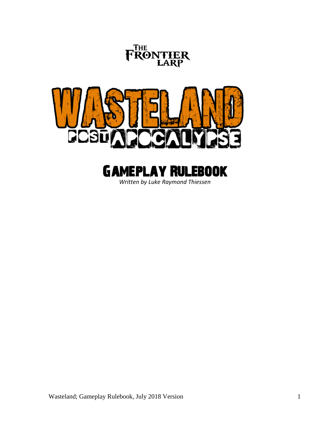

# Gameplay Rulebook

*Written by Luke Raymond Thiessen*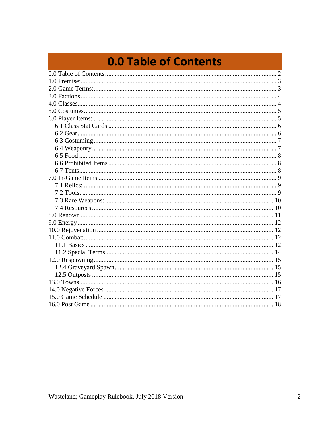# **0.0 Table of Contents**

<span id="page-1-0"></span>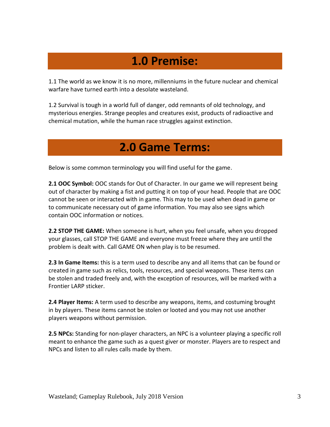## **1.0 Premise:**

<span id="page-2-0"></span>1.1 The world as we know it is no more, millenniums in the future nuclear and chemical warfare have turned earth into a desolate wasteland.

<span id="page-2-1"></span>1.2 Survival is tough in a world full of danger, odd remnants of old technology, and mysterious energies. Strange peoples and creatures exist, products of radioactive and chemical mutation, while the human race struggles against extinction.

### **2.0 Game Terms:**

Below is some common terminology you will find useful for the game.

**2.1 OOC Symbol:** OOC stands for Out of Character. In our game we will represent being out of character by making a fist and putting it on top of your head. People that are OOC cannot be seen or interacted with in game. This may to be used when dead in game or to communicate necessary out of game information. You may also see signs which contain OOC information or notices.

**2.2 STOP THE GAME:** When someone is hurt, when you feel unsafe, when you dropped your glasses, call STOP THE GAME and everyone must freeze where they are until the problem is dealt with. Call GAME ON when play is to be resumed.

**2.3 In Game Items:** this is a term used to describe any and all items that can be found or created in game such as relics, tools, resources, and special weapons. These items can be stolen and traded freely and, with the exception of resources, will be marked with a Frontier LARP sticker.

**2.4 Player Items:** A term used to describe any weapons, items, and costuming brought in by players. These items cannot be stolen or looted and you may not use another players weapons without permission.

**2.5 NPCs:** Standing for non-player characters, an NPC is a volunteer playing a specific roll meant to enhance the game such as a quest giver or monster. Players are to respect and NPCs and listen to all rules calls made by them.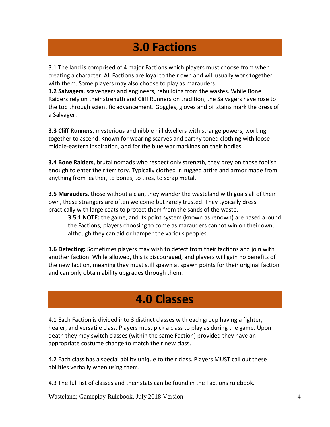## **3.0 Factions**

<span id="page-3-0"></span>3.1 The land is comprised of 4 major Factions which players must choose from when creating a character. All Factions are loyal to their own and will usually work together with them. Some players may also choose to play as marauders.

**3.2 Salvagers**, scavengers and engineers, rebuilding from the wastes. While Bone Raiders rely on their strength and Cliff Runners on tradition, the Salvagers have rose to the top through scientific advancement. Goggles, gloves and oil stains mark the dress of a Salvager.

**3.3 Cliff Runners**, mysterious and nibble hill dwellers with strange powers, working together to ascend. Known for wearing scarves and earthy toned clothing with loose middle-eastern inspiration, and for the blue war markings on their bodies.

**3.4 Bone Raiders**, brutal nomads who respect only strength, they prey on those foolish enough to enter their territory. Typically clothed in rugged attire and armor made from anything from leather, to bones, to tires, to scrap metal.

**3.5 Marauders**, those without a clan, they wander the wasteland with goals all of their own, these strangers are often welcome but rarely trusted. They typically dress practically with large coats to protect them from the sands of the waste.

**3.5.1 NOTE:** the game, and its point system (known as renown) are based around the Factions, players choosing to come as marauders cannot win on their own, although they can aid or hamper the various peoples.

**3.6 Defecting:** Sometimes players may wish to defect from their factions and join with another faction. While allowed, this is discouraged, and players will gain no benefits of the new faction, meaning they must still spawn at spawn points for their original faction and can only obtain ability upgrades through them.

### **4.0 Classes**

<span id="page-3-1"></span>4.1 Each Faction is divided into 3 distinct classes with each group having a fighter, healer, and versatile class. Players must pick a class to play as during the game. Upon death they may switch classes (within the same Faction) provided they have an appropriate costume change to match their new class.

4.2 Each class has a special ability unique to their class. Players MUST call out these abilities verbally when using them.

4.3 The full list of classes and their stats can be found in the Factions rulebook.

Wasteland; Gameplay Rulebook, July 2018 Version 4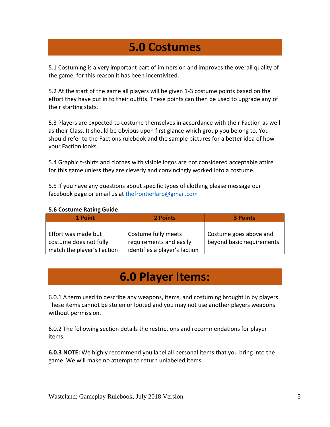## **5.0 Costumes**

<span id="page-4-0"></span>5.1 Costuming is a very important part of immersion and improves the overall quality of the game, for this reason it has been incentivized.

5.2 At the start of the game all players will be given 1-3 costume points based on the effort they have put in to their outfits. These points can then be used to upgrade any of their starting stats.

5.3 Players are expected to costume themselves in accordance with their Faction as well as their Class. It should be obvious upon first glance which group you belong to. You should refer to the Factions rulebook and the sample pictures for a better idea of how your Faction looks.

5.4 Graphic t-shirts and clothes with visible logos are not considered acceptable attire for this game unless they are cleverly and convincingly worked into a costume.

5.5 If you have any questions about specific types of clothing please message our facebook page or email us at [thefrontierlarp@gmail.com](mailto:thefrontierlarp@gmail.com)

#### **5.6 Costume Rating Guide**

| 1 Point                    | 2 Points                      | <b>3 Points</b>           |
|----------------------------|-------------------------------|---------------------------|
|                            |                               |                           |
| Effort was made but        | Costume fully meets           | Costume goes above and    |
| costume does not fully     | requirements and easily       | beyond basic requirements |
| match the player's Faction | identifies a player's faction |                           |

### **6.0 Player Items:**

<span id="page-4-1"></span>6.0.1 A term used to describe any weapons, items, and costuming brought in by players. These items cannot be stolen or looted and you may not use another players weapons without permission.

6.0.2 The following section details the restrictions and recommendations for player items.

**6.0.3 NOTE:** We highly recommend you label all personal items that you bring into the game. We will make no attempt to return unlabeled items.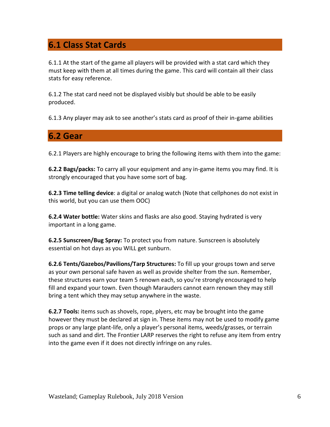#### <span id="page-5-0"></span>**6.1 Class Stat Cards**

6.1.1 At the start of the game all players will be provided with a stat card which they must keep with them at all times during the game. This card will contain all their class stats for easy reference.

6.1.2 The stat card need not be displayed visibly but should be able to be easily produced.

6.1.3 Any player may ask to see another's stats card as proof of their in-game abilities

#### <span id="page-5-1"></span>**6.2 Gear**

6.2.1 Players are highly encourage to bring the following items with them into the game:

**6.2.2 Bags/packs:** To carry all your equipment and any in-game items you may find. It is strongly encouraged that you have some sort of bag.

**6.2.3 Time telling device**: a digital or analog watch (Note that cellphones do not exist in this world, but you can use them OOC)

**6.2.4 Water bottle:** Water skins and flasks are also good. Staying hydrated is very important in a long game.

**6.2.5 Sunscreen/Bug Spray:** To protect you from nature. Sunscreen is absolutely essential on hot days as you WILL get sunburn.

**6.2.6 Tents/Gazebos/Pavilions/Tarp Structures:** To fill up your groups town and serve as your own personal safe haven as well as provide shelter from the sun. Remember, these structures earn your team 5 renown each, so you're strongly encouraged to help fill and expand your town. Even though Marauders cannot earn renown they may still bring a tent which they may setup anywhere in the waste.

**6.2.7 Tools:** items such as shovels, rope, plyers, etc may be brought into the game however they must be declared at sign in. These items may not be used to modify game props or any large plant-life, only a player's personal items, weeds/grasses, or terrain such as sand and dirt. The Frontier LARP reserves the right to refuse any item from entry into the game even if it does not directly infringe on any rules.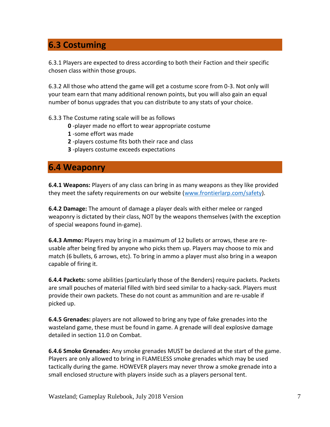### <span id="page-6-0"></span>**6.3 Costuming**

6.3.1 Players are expected to dress according to both their Faction and their specific chosen class within those groups.

6.3.2 All those who attend the game will get a costume score from 0-3. Not only will your team earn that many additional renown points, but you will also gain an equal number of bonus upgrades that you can distribute to any stats of your choice.

6.3.3 The Costume rating scale will be as follows

- **0** -player made no effort to wear appropriate costume
- **1** -some effort was made
- **2** -players costume fits both their race and class
- **3** -players costume exceeds expectations

#### <span id="page-6-1"></span>**6.4 Weaponry**

**6.4.1 Weapons:** Players of any class can bring in as many weapons as they like provided they meet the safety requirements on our website [\(www.frontierlarp.com/safety\)](http://www.frontierlarp.com/safety).

**6.4.2 Damage:** The amount of damage a player deals with either melee or ranged weaponry is dictated by their class, NOT by the weapons themselves (with the exception of special weapons found in-game).

**6.4.3 Ammo:** Players may bring in a maximum of 12 bullets or arrows, these are reusable after being fired by anyone who picks them up. Players may choose to mix and match (6 bullets, 6 arrows, etc). To bring in ammo a player must also bring in a weapon capable of firing it.

**6.4.4 Packets:** some abilities (particularly those of the Benders) require packets. Packets are small pouches of material filled with bird seed similar to a hacky-sack. Players must provide their own packets. These do not count as ammunition and are re-usable if picked up.

**6.4.5 Grenades:** players are not allowed to bring any type of fake grenades into the wasteland game, these must be found in game. A grenade will deal explosive damage detailed in section 11.0 on Combat.

**6.4.6 Smoke Grenades:** Any smoke grenades MUST be declared at the start of the game. Players are only allowed to bring in FLAMELESS smoke grenades which may be used tactically during the game. HOWEVER players may never throw a smoke grenade into a small enclosed structure with players inside such as a players personal tent.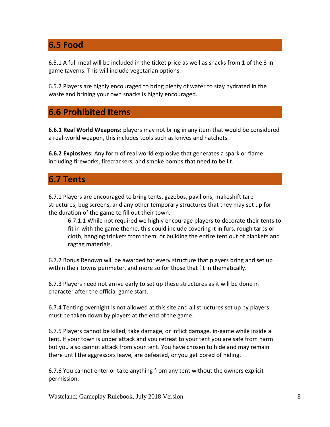#### <span id="page-7-0"></span>**6.5 Food**

6.5.1 A full meal will be included in the ticket price as well as snacks from 1 of the 3 ingame taverns. This will include vegetarian options.

6.5.2 Players are highly encouraged to bring plenty of water to stay hydrated in the waste and brining your own snacks is highly encouraged.

#### <span id="page-7-1"></span>**6.6 Prohibited Items**

**6.6.1 Real World Weapons:** players may not bring in any item that would be considered a real-world weapon, this includes tools such as knives and hatchets.

**6.6.2 Explosives:** Any form of real world explosive that generates a spark or flame including fireworks, firecrackers, and smoke bombs that need to be lit.

#### <span id="page-7-2"></span>**6.7 Tents**

6.7.1 Players are encouraged to bring tents, gazebos, pavilions, makeshift tarp structures, bug screens, and any other temporary structures that they may set up for the duration of the game to fill out their town.

6.7.1.1 While not required we highly encourage players to decorate their tents to fit in with the game theme, this could include covering it in furs, rough tarps or cloth, hanging trinkets from them, or building the entire tent out of blankets and ragtag materials.

6.7.2 Bonus Renown will be awarded for every structure that players bring and set up within their towns perimeter, and more so for those that fit in thematically.

6.7.3 Players need not arrive early to set up these structures as it will be done in character after the official game start.

6.7.4 Tenting overnight is not allowed at this site and all structures set up by players must be taken down by players at the end of the game.

6.7.5 Players cannot be killed, take damage, or inflict damage, in-game while inside a tent. If your town is under attack and you retreat to your tent you are safe from harm but you also cannot attack from your tent. You have chosen to hide and may remain there until the aggressors leave, are defeated, or you get bored of hiding.

6.7.6 You cannot enter or take anything from any tent without the owners explicit permission.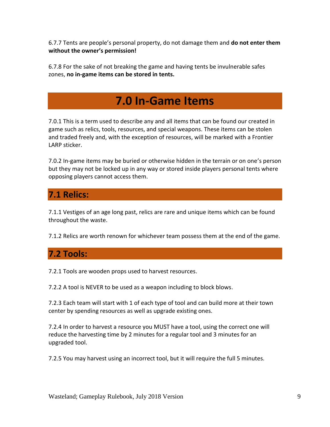6.7.7 Tents are people's personal property, do not damage them and **do not enter them without the owner's permission!**

<span id="page-8-0"></span>6.7.8 For the sake of not breaking the game and having tents be invulnerable safes zones, **no in-game items can be stored in tents.** 

## **7.0 In-Game Items**

7.0.1 This is a term used to describe any and all items that can be found our created in game such as relics, tools, resources, and special weapons. These items can be stolen and traded freely and, with the exception of resources, will be marked with a Frontier LARP sticker.

7.0.2 In-game items may be buried or otherwise hidden in the terrain or on one's person but they may not be locked up in any way or stored inside players personal tents where opposing players cannot access them.

#### <span id="page-8-1"></span>**7.1 Relics:**

7.1.1 Vestiges of an age long past, relics are rare and unique items which can be found throughout the waste.

7.1.2 Relics are worth renown for whichever team possess them at the end of the game.

#### <span id="page-8-2"></span>**7.2 Tools:**

7.2.1 Tools are wooden props used to harvest resources.

7.2.2 A tool is NEVER to be used as a weapon including to block blows.

7.2.3 Each team will start with 1 of each type of tool and can build more at their town center by spending resources as well as upgrade existing ones.

7.2.4 In order to harvest a resource you MUST have a tool, using the correct one will reduce the harvesting time by 2 minutes for a regular tool and 3 minutes for an upgraded tool.

7.2.5 You may harvest using an incorrect tool, but it will require the full 5 minutes.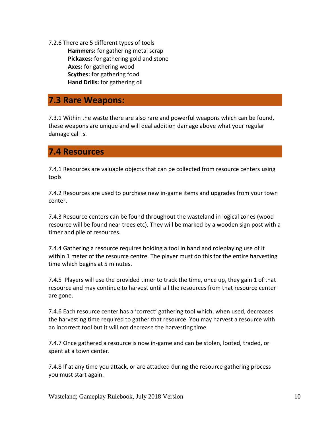7.2.6 There are 5 different types of tools **Hammers:** for gathering metal scrap **Pickaxes:** for gathering gold and stone **Axes:** for gathering wood **Scythes:** for gathering food **Hand Drills:** for gathering oil

#### <span id="page-9-0"></span>**7.3 Rare Weapons:**

7.3.1 Within the waste there are also rare and powerful weapons which can be found, these weapons are unique and will deal addition damage above what your regular damage call is.

#### <span id="page-9-1"></span>**7.4 Resources**

7.4.1 Resources are valuable objects that can be collected from resource centers using tools

7.4.2 Resources are used to purchase new in-game items and upgrades from your town center.

7.4.3 Resource centers can be found throughout the wasteland in logical zones (wood resource will be found near trees etc). They will be marked by a wooden sign post with a timer and pile of resources.

7.4.4 Gathering a resource requires holding a tool in hand and roleplaying use of it within 1 meter of the resource centre. The player must do this for the entire harvesting time which begins at 5 minutes.

7.4.5 Players will use the provided timer to track the time, once up, they gain 1 of that resource and may continue to harvest until all the resources from that resource center are gone.

7.4.6 Each resource center has a 'correct' gathering tool which, when used, decreases the harvesting time required to gather that resource. You may harvest a resource with an incorrect tool but it will not decrease the harvesting time

7.4.7 Once gathered a resource is now in-game and can be stolen, looted, traded, or spent at a town center.

7.4.8 If at any time you attack, or are attacked during the resource gathering process you must start again.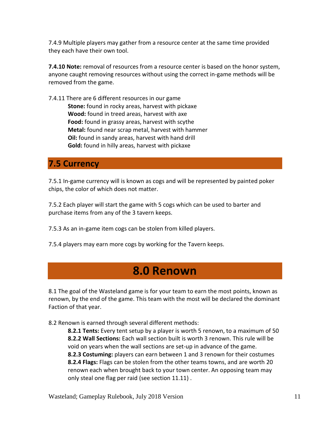7.4.9 Multiple players may gather from a resource center at the same time provided they each have their own tool.

**7.4.10 Note:** removal of resources from a resource center is based on the honor system, anyone caught removing resources without using the correct in-game methods will be removed from the game.

7.4.11 There are 6 different resources in our game **Stone:** found in rocky areas, harvest with pickaxe **Wood:** found in treed areas, harvest with axe **Food:** found in grassy areas, harvest with scythe **Metal:** found near scrap metal, harvest with hammer **Oil:** found in sandy areas, harvest with hand drill **Gold:** found in hilly areas, harvest with pickaxe

#### **7.5 Currency**

7.5.1 In-game currency will is known as cogs and will be represented by painted poker chips, the color of which does not matter.

7.5.2 Each player will start the game with 5 cogs which can be used to barter and purchase items from any of the 3 tavern keeps.

7.5.3 As an in-game item cogs can be stolen from killed players.

<span id="page-10-0"></span>7.5.4 players may earn more cogs by working for the Tavern keeps.

### **8.0 Renown**

8.1 The goal of the Wasteland game is for your team to earn the most points, known as renown, by the end of the game. This team with the most will be declared the dominant Faction of that year.

8.2 Renown is earned through several different methods:

**8.2.1 Tents:** Every tent setup by a player is worth 5 renown, to a maximum of 50 **8.2.2 Wall Sections:** Each wall section built is worth 3 renown. This rule will be void on years when the wall sections are set-up in advance of the game. **8.2.3 Costuming:** players can earn between 1 and 3 renown for their costumes **8.2.4 Flags:** Flags can be stolen from the other teams towns, and are worth 20 renown each when brought back to your town center. An opposing team may only steal one flag per raid (see section 11.11) .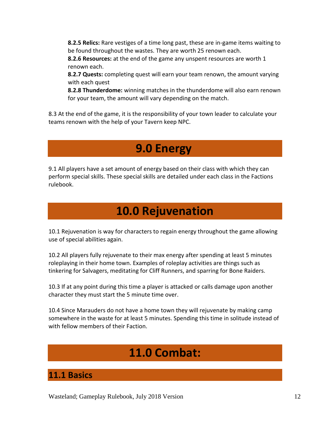**8.2.5 Relics:** Rare vestiges of a time long past, these are in-game items waiting to be found throughout the wastes. They are worth 25 renown each.

**8.2.6 Resources:** at the end of the game any unspent resources are worth 1 renown each.

**8.2.7 Quests:** completing quest will earn your team renown, the amount varying with each quest

**8.2.8 Thunderdome:** winning matches in the thunderdome will also earn renown for your team, the amount will vary depending on the match.

<span id="page-11-0"></span>8.3 At the end of the game, it is the responsibility of your town leader to calculate your teams renown with the help of your Tavern keep NPC.

# **9.0 Energy**

9.1 All players have a set amount of energy based on their class with which they can perform special skills. These special skills are detailed under each class in the Factions rulebook.

# **10.0 Rejuvenation**

<span id="page-11-1"></span>10.1 Rejuvenation is way for characters to regain energy throughout the game allowing use of special abilities again.

10.2 All players fully rejuvenate to their max energy after spending at least 5 minutes roleplaying in their home town. Examples of roleplay activities are things such as tinkering for Salvagers, meditating for Cliff Runners, and sparring for Bone Raiders.

10.3 If at any point during this time a player is attacked or calls damage upon another character they must start the 5 minute time over.

<span id="page-11-2"></span>10.4 Since Marauders do not have a home town they will rejuvenate by making camp somewhere in the waste for at least 5 minutes. Spending this time in solitude instead of with fellow members of their Faction.

# **11.0 Combat:**

#### <span id="page-11-3"></span>**11.1 Basics**

Wasteland; Gameplay Rulebook, July 2018 Version 12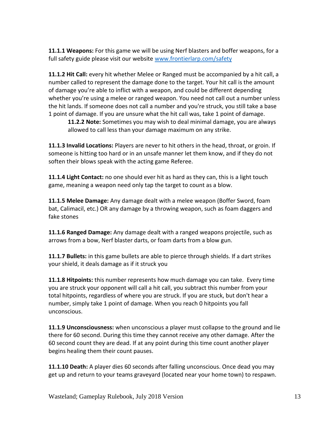**11.1.1 Weapons:** For this game we will be using Nerf blasters and boffer weapons, for a full safety guide please visit our website [www.frontierlarp.com/safety](http://www.frontierlarp.com/safety)

**11.1.2 Hit Call:** every hit whether Melee or Ranged must be accompanied by a hit call, a number called to represent the damage done to the target. Your hit call is the amount of damage you're able to inflict with a weapon, and could be different depending whether you're using a melee or ranged weapon. You need not call out a number unless the hit lands. If someone does not call a number and you're struck, you still take a base 1 point of damage. If you are unsure what the hit call was, take 1 point of damage.

**11.2.2 Note:** Sometimes you may wish to deal minimal damage, you are always allowed to call less than your damage maximum on any strike.

**11.1.3 Invalid Locations:** Players are never to hit others in the head, throat, or groin. If someone is hitting too hard or in an unsafe manner let them know, and if they do not soften their blows speak with the acting game Referee.

**11.1.4 Light Contact:** no one should ever hit as hard as they can, this is a light touch game, meaning a weapon need only tap the target to count as a blow.

**11.1.5 Melee Damage:** Any damage dealt with a melee weapon (Boffer Sword, foam bat, Calimacil, etc.) OR any damage by a throwing weapon, such as foam daggers and fake stones

**11.1.6 Ranged Damage:** Any damage dealt with a ranged weapons projectile, such as arrows from a bow, Nerf blaster darts, or foam darts from a blow gun.

**11.1.7 Bullets:** in this game bullets are able to pierce through shields. If a dart strikes your shield, it deals damage as if it struck you

**11.1.8 Hitpoints:** this number represents how much damage you can take. Every time you are struck your opponent will call a hit call, you subtract this number from your total hitpoints, regardless of where you are struck. If you are stuck, but don't hear a number, simply take 1 point of damage. When you reach 0 hitpoints you fall unconscious.

**11.1.9 Unconsciousness:** when unconscious a player must collapse to the ground and lie there for 60 second. During this time they cannot receive any other damage. After the 60 second count they are dead. If at any point during this time count another player begins healing them their count pauses.

**11.1.10 Death:** A player dies 60 seconds after falling unconscious. Once dead you may get up and return to your teams graveyard (located near your home town) to respawn.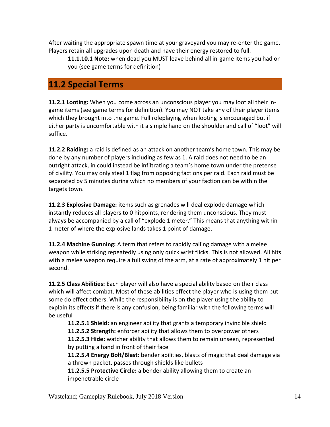After waiting the appropriate spawn time at your graveyard you may re-enter the game. Players retain all upgrades upon death and have their energy restored to full.

**11.1.10.1 Note:** when dead you MUST leave behind all in-game items you had on you (see game terms for definition)

#### <span id="page-13-0"></span>**11.2 Special Terms**

**11.2.1 Looting:** When you come across an unconscious player you may loot all their ingame items (see game terms for definition). You may NOT take any of their player items which they brought into the game. Full roleplaying when looting is encouraged but if either party is uncomfortable with it a simple hand on the shoulder and call of "loot" will suffice.

**11.2.2 Raiding:** a raid is defined as an attack on another team's home town. This may be done by any number of players including as few as 1. A raid does not need to be an outright attack, in could instead be infiltrating a team's home town under the pretense of civility. You may only steal 1 flag from opposing factions per raid. Each raid must be separated by 5 minutes during which no members of your faction can be within the targets town.

**11.2.3 Explosive Damage:** items such as grenades will deal explode damage which instantly reduces all players to 0 hitpoints, rendering them unconscious. They must always be accompanied by a call of "explode 1 meter." This means that anything within 1 meter of where the explosive lands takes 1 point of damage.

**11.2.4 Machine Gunning:** A term that refers to rapidly calling damage with a melee weapon while striking repeatedly using only quick wrist flicks. This is not allowed. All hits with a melee weapon require a full swing of the arm, at a rate of approximately 1 hit per second.

**11.2.5 Class Abilities:** Each player will also have a special ability based on their class which will affect combat. Most of these abilities effect the player who is using them but some do effect others. While the responsibility is on the player using the ability to explain its effects if there is any confusion, being familiar with the following terms will be useful

**11.2.5.1 Shield:** an engineer ability that grants a temporary invincible shield **11.2.5.2 Strength:** enforcer ability that allows them to overpower others **11.2.5.3 Hide:** watcher ability that allows them to remain unseen, represented by putting a hand in front of their face **11.2.5.4 Energy Bolt/Blast:** bender abilities, blasts of magic that deal damage via a thrown packet, passes through shields like bullets

**11.2.5.5 Protective Circle:** a bender ability allowing them to create an impenetrable circle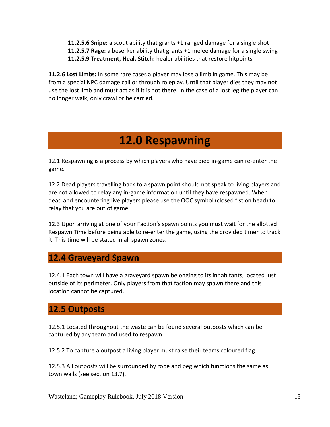**11.2.5.6 Snipe:** a scout ability that grants +1 ranged damage for a single shot **11.2.5.7 Rage:** a beserker ability that grants +1 melee damage for a single swing **11.2.5.9 Treatment, Heal, Stitch:** healer abilities that restore hitpoints

**11.2.6 Lost Limbs:** In some rare cases a player may lose a limb in game. This may be from a special NPC damage call or through roleplay. Until that player dies they may not use the lost limb and must act as if it is not there. In the case of a lost leg the player can no longer walk, only crawl or be carried.

## **12.0 Respawning**

<span id="page-14-0"></span>12.1 Respawning is a process by which players who have died in-game can re-enter the game.

12.2 Dead players travelling back to a spawn point should not speak to living players and are not allowed to relay any in-game information until they have respawned. When dead and encountering live players please use the OOC symbol (closed fist on head) to relay that you are out of game.

12.3 Upon arriving at one of your Faction's spawn points you must wait for the allotted Respawn Time before being able to re-enter the game, using the provided timer to track it. This time will be stated in all spawn zones.

#### <span id="page-14-1"></span>**12.4 Graveyard Spawn**

12.4.1 Each town will have a graveyard spawn belonging to its inhabitants, located just outside of its perimeter. Only players from that faction may spawn there and this location cannot be captured.

#### <span id="page-14-2"></span>**12.5 Outposts**

12.5.1 Located throughout the waste can be found several outposts which can be captured by any team and used to respawn.

12.5.2 To capture a outpost a living player must raise their teams coloured flag.

12.5.3 All outposts will be surrounded by rope and peg which functions the same as town walls (see section 13.7).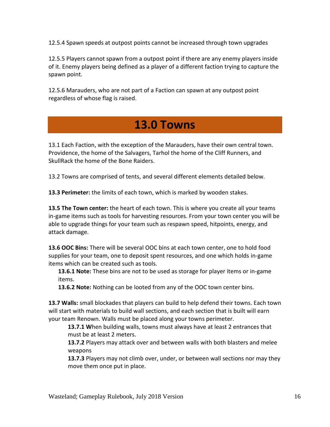12.5.4 Spawn speeds at outpost points cannot be increased through town upgrades

12.5.5 Players cannot spawn from a outpost point if there are any enemy players inside of it. Enemy players being defined as a player of a different faction trying to capture the spawn point.

<span id="page-15-0"></span>12.5.6 Marauders, who are not part of a Faction can spawn at any outpost point regardless of whose flag is raised.

### **13.0 Towns**

13.1 Each Faction, with the exception of the Marauders, have their own central town. Providence, the home of the Salvagers, Tarhol the home of the Cliff Runners, and SkullRack the home of the Bone Raiders.

13.2 Towns are comprised of tents, and several different elements detailed below.

**13.3 Perimeter:** the limits of each town, which is marked by wooden stakes.

**13.5 The Town center:** the heart of each town. This is where you create all your teams in-game items such as tools for harvesting resources. From your town center you will be able to upgrade things for your team such as respawn speed, hitpoints, energy, and attack damage.

**13.6 OOC Bins:** There will be several OOC bins at each town center, one to hold food supplies for your team, one to deposit spent resources, and one which holds in-game items which can be created such as tools.

**13.6.1 Note:** These bins are not to be used as storage for player items or in-game items.

**13.6.2 Note:** Nothing can be looted from any of the OOC town center bins.

**13.7 Walls:** small blockades that players can build to help defend their towns. Each town will start with materials to build wall sections, and each section that is built will earn your team Renown. Walls must be placed along your towns perimeter.

**13.7.1 W**hen building walls, towns must always have at least 2 entrances that must be at least 2 meters.

**13.7.2** Players may attack over and between walls with both blasters and melee weapons

**13.7.3** Players may not climb over, under, or between wall sections nor may they move them once put in place.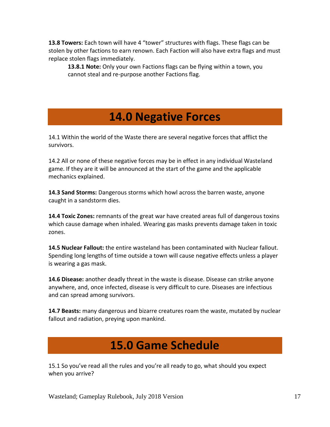**13.8 Towers:** Each town will have 4 "tower" structures with flags. These flags can be stolen by other factions to earn renown. Each Faction will also have extra flags and must replace stolen flags immediately.

**13.8.1 Note:** Only your own Factions flags can be flying within a town, you cannot steal and re-purpose another Factions flag.

### **14.0 Negative Forces**

<span id="page-16-0"></span>14.1 Within the world of the Waste there are several negative forces that afflict the survivors.

14.2 All or none of these negative forces may be in effect in any individual Wasteland game. If they are it will be announced at the start of the game and the applicable mechanics explained.

**14.3 Sand Storms:** Dangerous storms which howl across the barren waste, anyone caught in a sandstorm dies.

**14.4 Toxic Zones:** remnants of the great war have created areas full of dangerous toxins which cause damage when inhaled. Wearing gas masks prevents damage taken in toxic zones.

**14.5 Nuclear Fallout:** the entire wasteland has been contaminated with Nuclear fallout. Spending long lengths of time outside a town will cause negative effects unless a player is wearing a gas mask.

**14.6 Disease:** another deadly threat in the waste is disease. Disease can strike anyone anywhere, and, once infected, disease is very difficult to cure. Diseases are infectious and can spread among survivors.

<span id="page-16-1"></span>**14.7 Beasts:** many dangerous and bizarre creatures roam the waste, mutated by nuclear fallout and radiation, preying upon mankind.

### **15.0 Game Schedule**

15.1 So you've read all the rules and you're all ready to go, what should you expect when you arrive?